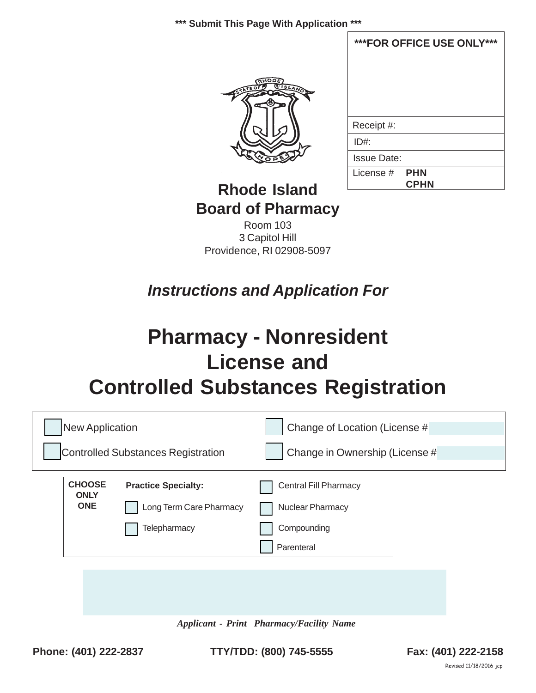**\*\*\* Submit This Page With Application \*\*\***



| ***FOR OFFICE USE ONLY*** |  |  |  |
|---------------------------|--|--|--|
|                           |  |  |  |
|                           |  |  |  |
|                           |  |  |  |
|                           |  |  |  |
| Receipt #:                |  |  |  |
| ID#                       |  |  |  |
| <b>Issue Date:</b>        |  |  |  |
| License $#$ PHN           |  |  |  |
| <b>CPHN</b>               |  |  |  |

# **Rhode Island Board of Pharmacy**

Room 103 3 Capitol Hill Providence, RI 02908-5097

*Instructions and Application For*

# **Pharmacy - Nonresident License and Controlled Substances Registration**

| New Application              |                                           | Change of Location (License #  |
|------------------------------|-------------------------------------------|--------------------------------|
|                              | <b>Controlled Substances Registration</b> | Change in Ownership (License # |
| <b>CHOOSE</b><br><b>ONLY</b> | <b>Practice Specialty:</b>                | <b>Central Fill Pharmacy</b>   |
| <b>ONE</b>                   | Long Term Care Pharmacy                   | Nuclear Pharmacy               |
|                              | Telepharmacy                              | Compounding                    |
|                              |                                           | Parenteral                     |
|                              |                                           |                                |
|                              |                                           |                                |

*Applicant - Print Pharmacy/Facility Name*

**Phone: (401) 222-2837 TTY/TDD: (800) 745-5555 Fax: (401) 222-2158**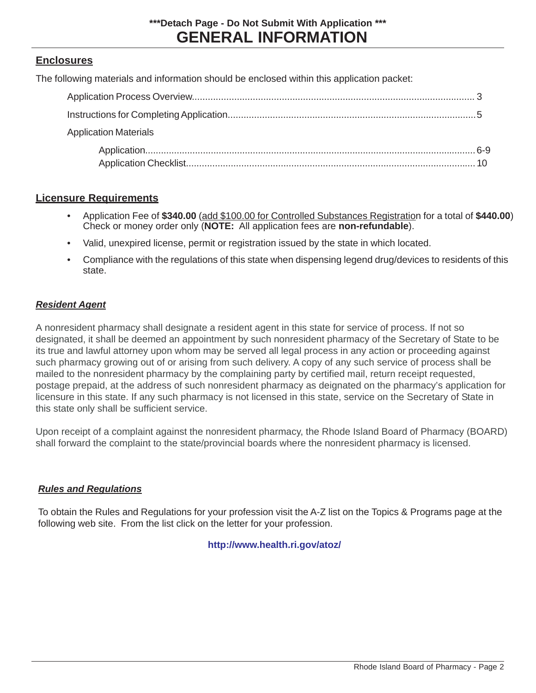#### **Enclosures**

The following materials and information should be enclosed within this application packet:

| <b>Application Materials</b> |  |
|------------------------------|--|
|                              |  |

#### **Licensure Requirements**

- Application Fee of **\$340.00** (add \$100.00 for Controlled Substances Registration for a total of **\$440.00**) Check or money order only (**NOTE:** All application fees are **non-refundable**).
- Valid, unexpired license, permit or registration issued by the state in which located.
- Compliance with the regulations of this state when dispensing legend drug/devices to residents of this state.

#### *Resident Agent*

A nonresident pharmacy shall designate a resident agent in this state for service of process. If not so designated, it shall be deemed an appointment by such nonresident pharmacy of the Secretary of State to be its true and lawful attorney upon whom may be served all legal process in any action or proceeding against such pharmacy growing out of or arising from such delivery. A copy of any such service of process shall be mailed to the nonresident pharmacy by the complaining party by certified mail, return receipt requested, postage prepaid, at the address of such nonresident pharmacy as deignated on the pharmacy's application for licensure in this state. If any such pharmacy is not licensed in this state, service on the Secretary of State in this state only shall be sufficient service.

Upon receipt of a complaint against the nonresident pharmacy, the Rhode Island Board of Pharmacy (BOARD) shall forward the complaint to the state/provincial boards where the nonresident pharmacy is licensed.

#### *Rules and Regulations*

To obtain the Rules and Regulations for your profession visit the A-Z list on the Topics & Programs page at the following web site. From the list click on the letter for your profession.

#### **[http://www.health.ri.gov/atoz/](http://www.health.ri.gov/hsr/professions/pharmacy.php)**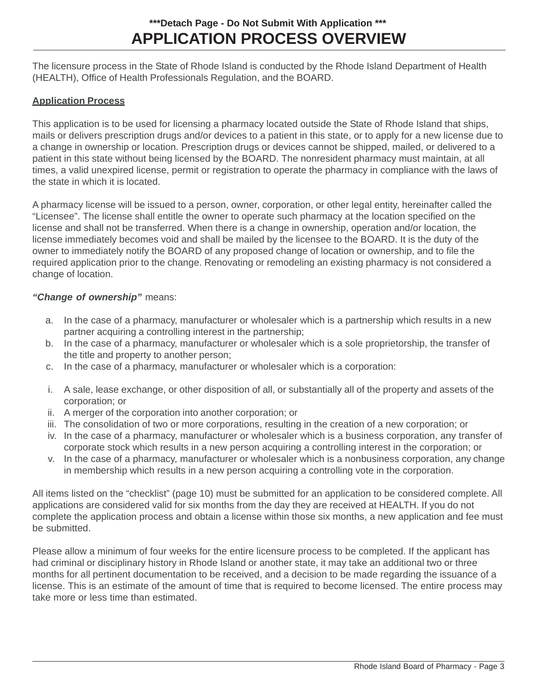# **APPLICATION PROCESS OVERVIEW \*\*\*Detach Page - Do Not Submit With Application \*\*\***

The licensure process in the State of Rhode Island is conducted by the Rhode Island Department of Health (HEALTH), Office of Health Professionals Regulation, and the BOARD.

#### **Application Process**

This application is to be used for licensing a pharmacy located outside the State of Rhode Island that ships, mails or delivers prescription drugs and/or devices to a patient in this state, or to apply for a new license due to a change in ownership or location. Prescription drugs or devices cannot be shipped, mailed, or delivered to a patient in this state without being licensed by the BOARD. The nonresident pharmacy must maintain, at all times, a valid unexpired license, permit or registration to operate the pharmacy in compliance with the laws of the state in which it is located.

A pharmacy license will be issued to a person, owner, corporation, or other legal entity, hereinafter called the "Licensee". The license shall entitle the owner to operate such pharmacy at the location specified on the license and shall not be transferred. When there is a change in ownership, operation and/or location, the license immediately becomes void and shall be mailed by the licensee to the BOARD. It is the duty of the owner to immediately notify the BOARD of any proposed change of location or ownership, and to file the required application prior to the change. Renovating or remodeling an existing pharmacy is not considered a change of location.

#### *"Change of ownership"* means:

- a. In the case of a pharmacy, manufacturer or wholesaler which is a partnership which results in a new partner acquiring a controlling interest in the partnership;
- b. In the case of a pharmacy, manufacturer or wholesaler which is a sole proprietorship, the transfer of the title and property to another person;
- c. In the case of a pharmacy, manufacturer or wholesaler which is a corporation:
- i. A sale, lease exchange, or other disposition of all, or substantially all of the property and assets of the corporation; or
- ii. A merger of the corporation into another corporation; or
- iii. The consolidation of two or more corporations, resulting in the creation of a new corporation; or
- iv. In the case of a pharmacy, manufacturer or wholesaler which is a business corporation, any transfer of corporate stock which results in a new person acquiring a controlling interest in the corporation; or
- v. In the case of a pharmacy, manufacturer or wholesaler which is a nonbusiness corporation, any change in membership which results in a new person acquiring a controlling vote in the corporation.

All items listed on the "checklist" (page 10) must be submitted for an application to be considered complete. All applications are considered valid for six months from the day they are received at HEALTH. If you do not complete the application process and obtain a license within those six months, a new application and fee must be submitted.

Please allow a minimum of four weeks for the entire licensure process to be completed. If the applicant has had criminal or disciplinary history in Rhode Island or another state, it may take an additional two or three months for all pertinent documentation to be received, and a decision to be made regarding the issuance of a license. This is an estimate of the amount of time that is required to become licensed. The entire process may take more or less time than estimated.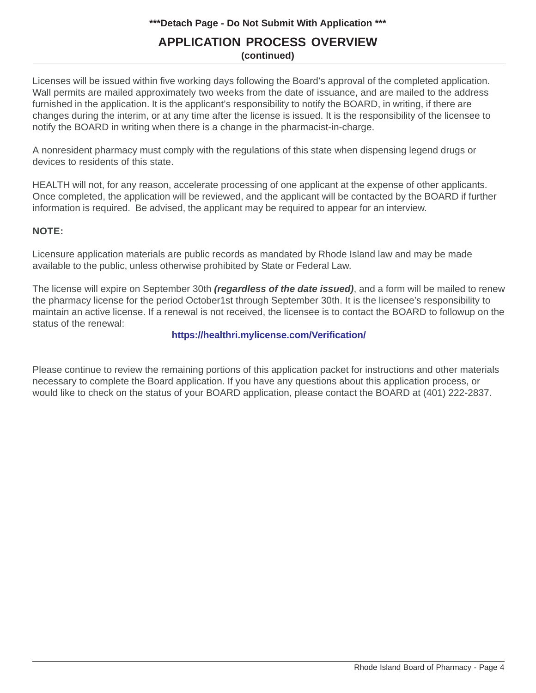#### **\*\*\*Detach Page - Do Not Submit With Application \*\*\***

#### **APPLICATION PROCESS OVERVIEW (continued)**

Licenses will be issued within five working days following the Board's approval of the completed application. Wall permits are mailed approximately two weeks from the date of issuance, and are mailed to the address furnished in the application. It is the applicant's responsibility to notify the BOARD, in writing, if there are changes during the interim, or at any time after the license is issued. It is the responsibility of the licensee to notify the BOARD in writing when there is a change in the pharmacist-in-charge.

A nonresident pharmacy must comply with the regulations of this state when dispensing legend drugs or devices to residents of this state.

HEALTH will not, for any reason, accelerate processing of one applicant at the expense of other applicants. Once completed, the application will be reviewed, and the applicant will be contacted by the BOARD if further information is required. Be advised, the applicant may be required to appear for an interview.

#### **NOTE:**

Licensure application materials are public records as mandated by Rhode Island law and may be made available to the public, unless otherwise prohibited by State or Federal Law.

The license will expire on September 30th *(regardless of the date issued)*, and a form will be mailed to renew the pharmacy license for the period October1st through September 30th. It is the licensee's responsibility to maintain an active license. If a renewal is not received, the licensee is to contact the BOARD to followup on the status of the renewal:

#### **[https://healthri.mylicense.com/Verification/](http://www.health.ri.gov/hsr/professions/pharmacy.php)**

Please continue to review the remaining portions of this application packet for instructions and other materials necessary to complete the [Board application. If you have any questions about this ap](http://www.health.ri.gov/hsr/professions/license.php)plication process, or would like to check on the status of your BOARD application, please contact the BOARD at (401) 222-2837.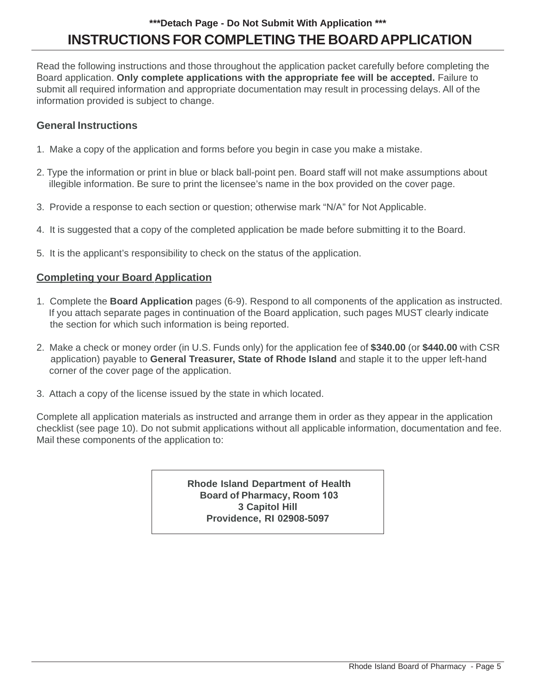# **INSTRUCTIONS FOR COMPLETING THE BOARD APPLICATION \*\*\*Detach Page - Do Not Submit With Application \*\*\***

Read the following instructions and those throughout the application packet carefully before completing the Board application. **Only complete applications with the appropriate fee will be accepted.** Failure to submit all required information and appropriate documentation may result in processing delays. All of the information provided is subject to change.

#### **General Instructions**

- 1. Make a copy of the application and forms before you begin in case you make a mistake.
- 2. Type the information or print in blue or black ball-point pen. Board staff will not make assumptions about illegible information. Be sure to print the licensee's name in the box provided on the cover page.
- 3. Provide a response to each section or question; otherwise mark "N/A" for Not Applicable.
- 4. It is suggested that a copy of the completed application be made before submitting it to the Board.
- 5. It is the applicant's responsibility to check on the status of the application.

#### **Completing your Board Application**

- 1. Complete the **Board Application** pages (6-9). Respond to all components of the application as instructed. If you attach separate pages in continuation of the Board application, such pages MUST clearly indicate the section for which such information is being reported.
- 2. Make a check or money order (in U.S. Funds only) for the application fee of **\$340.00** (or **\$440.00** with CSR application) payable to **General Treasurer, State of Rhode Island** and staple it to the upper left-hand corner of the cover page of the application.
- 3. Attach a copy of the license issued by the state in which located.

Complete all application materials as instructed and arrange them in order as they appear in the application checklist (see page 10). Do not submit applications without all applicable information, documentation and fee. Mail these components of the application to:

> **Rhode Island Department of Health Board of Pharmacy, Room 103 3 Capitol Hill Providence, RI 02908-5097**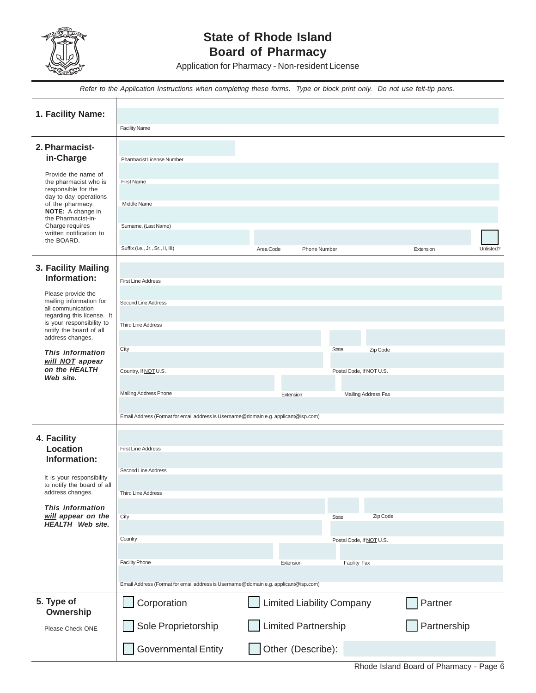

# **State of Rhode Island Board of Pharmacy**

Application for Pharmacy - Non-resident License

*Refer to the Application Instructions when completing these forms. Type or block print only. Do not use felt-tip pens.*

| 1. Facility Name:                                                                            |                                                                                    |                                  |                          |          |             |           |
|----------------------------------------------------------------------------------------------|------------------------------------------------------------------------------------|----------------------------------|--------------------------|----------|-------------|-----------|
|                                                                                              | <b>Facility Name</b>                                                               |                                  |                          |          |             |           |
| 2. Pharmacist-<br>in-Charge                                                                  | Pharmacist License Number                                                          |                                  |                          |          |             |           |
| Provide the name of<br>the pharmacist who is<br>responsible for the<br>day-to-day operations | <b>First Name</b>                                                                  |                                  |                          |          |             |           |
| of the pharmacy.<br><b>NOTE:</b> A change in                                                 | Middle Name                                                                        |                                  |                          |          |             |           |
| the Pharmacist-in-<br>Charge requires<br>written notification to<br>the BOARD.               | Surname, (Last Name)                                                               |                                  |                          |          |             |           |
|                                                                                              | Suffix (i.e., Jr., Sr., II, III)                                                   | Area Code<br><b>Phone Number</b> |                          |          | Extension   | Unlisted? |
| 3. Facility Mailing<br>Information:                                                          | <b>First Line Address</b>                                                          |                                  |                          |          |             |           |
| Please provide the                                                                           |                                                                                    |                                  |                          |          |             |           |
| mailing information for<br>all communication<br>regarding this license. It                   | Second Line Address                                                                |                                  |                          |          |             |           |
| is your responsibility to<br>notify the board of all<br>address changes.                     | <b>Third Line Address</b>                                                          |                                  |                          |          |             |           |
| This information<br>will NOT appear                                                          | City                                                                               |                                  | <b>State</b>             | Zip Code |             |           |
| on the HEALTH<br>Web site.                                                                   | Country, If NOT U.S.                                                               |                                  | Postal Code, If NOT U.S. |          |             |           |
|                                                                                              | Mailing Address Phone                                                              | Extension                        | Mailing Address Fax      |          |             |           |
|                                                                                              | Email Address (Format for email address is Username@domain e.g. applicant@isp.com) |                                  |                          |          |             |           |
| 4. Facility                                                                                  |                                                                                    |                                  |                          |          |             |           |
| Location<br>Information:                                                                     | <b>First Line Address</b>                                                          |                                  |                          |          |             |           |
|                                                                                              | Second Line Address                                                                |                                  |                          |          |             |           |
| It is your responsibility<br>to notify the board of all<br>address changes.                  | <b>Third Line Address</b>                                                          |                                  |                          |          |             |           |
| This information<br>will appear on the                                                       | City                                                                               |                                  | <b>State</b>             | Zip Code |             |           |
| <b>HEALTH</b> Web site.                                                                      |                                                                                    |                                  |                          |          |             |           |
|                                                                                              | Country                                                                            |                                  | Postal Code, If NOT U.S. |          |             |           |
|                                                                                              | <b>Facility Phone</b>                                                              | Extension                        | Facility Fax             |          |             |           |
|                                                                                              | Email Address (Format for email address is Username@domain e.g. applicant@isp.com) |                                  |                          |          |             |           |
| 5. Type of<br>Ownership                                                                      | Corporation                                                                        | <b>Limited Liability Company</b> |                          |          | Partner     |           |
| Please Check ONE                                                                             | Sole Proprietorship                                                                | <b>Limited Partnership</b>       |                          |          | Partnership |           |
|                                                                                              | <b>Governmental Entity</b>                                                         | Other (Describe):                |                          |          |             |           |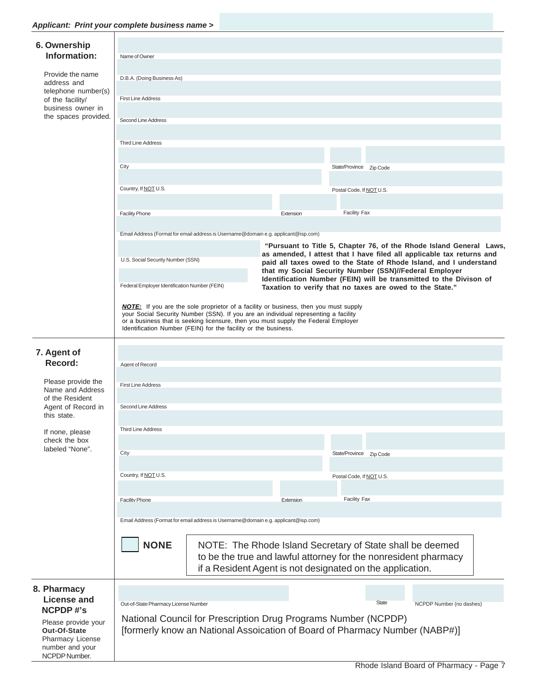### *Applicant: Print your complete business name >*

| Applicant. Frint your complete business name >                       |                                                                                                                                                                                                                                                                                                                                            |                                                                                                                                                                                                                                           |                                                                                                                                                                                                                    |                                                                             |  |
|----------------------------------------------------------------------|--------------------------------------------------------------------------------------------------------------------------------------------------------------------------------------------------------------------------------------------------------------------------------------------------------------------------------------------|-------------------------------------------------------------------------------------------------------------------------------------------------------------------------------------------------------------------------------------------|--------------------------------------------------------------------------------------------------------------------------------------------------------------------------------------------------------------------|-----------------------------------------------------------------------------|--|
| 6. Ownership<br>Information:                                         |                                                                                                                                                                                                                                                                                                                                            |                                                                                                                                                                                                                                           |                                                                                                                                                                                                                    |                                                                             |  |
|                                                                      | Name of Owner                                                                                                                                                                                                                                                                                                                              |                                                                                                                                                                                                                                           |                                                                                                                                                                                                                    |                                                                             |  |
| Provide the name<br>address and                                      | D.B.A. (Doing Business As)                                                                                                                                                                                                                                                                                                                 |                                                                                                                                                                                                                                           |                                                                                                                                                                                                                    |                                                                             |  |
| telephone number(s)<br>of the facility/                              | <b>First Line Address</b>                                                                                                                                                                                                                                                                                                                  |                                                                                                                                                                                                                                           |                                                                                                                                                                                                                    |                                                                             |  |
| business owner in                                                    |                                                                                                                                                                                                                                                                                                                                            |                                                                                                                                                                                                                                           |                                                                                                                                                                                                                    |                                                                             |  |
| the spaces provided.                                                 | Second Line Address                                                                                                                                                                                                                                                                                                                        |                                                                                                                                                                                                                                           |                                                                                                                                                                                                                    |                                                                             |  |
|                                                                      |                                                                                                                                                                                                                                                                                                                                            |                                                                                                                                                                                                                                           |                                                                                                                                                                                                                    |                                                                             |  |
|                                                                      | <b>Third Line Address</b>                                                                                                                                                                                                                                                                                                                  |                                                                                                                                                                                                                                           |                                                                                                                                                                                                                    |                                                                             |  |
|                                                                      |                                                                                                                                                                                                                                                                                                                                            |                                                                                                                                                                                                                                           |                                                                                                                                                                                                                    |                                                                             |  |
|                                                                      | City                                                                                                                                                                                                                                                                                                                                       |                                                                                                                                                                                                                                           |                                                                                                                                                                                                                    | State/Province Zip Code                                                     |  |
|                                                                      | Country, If NOT U.S.                                                                                                                                                                                                                                                                                                                       |                                                                                                                                                                                                                                           |                                                                                                                                                                                                                    | Postal Code, If NOT U.S.                                                    |  |
|                                                                      |                                                                                                                                                                                                                                                                                                                                            |                                                                                                                                                                                                                                           |                                                                                                                                                                                                                    |                                                                             |  |
|                                                                      | <b>Facility Phone</b>                                                                                                                                                                                                                                                                                                                      |                                                                                                                                                                                                                                           | Extension                                                                                                                                                                                                          | <b>Facility Fax</b>                                                         |  |
|                                                                      |                                                                                                                                                                                                                                                                                                                                            |                                                                                                                                                                                                                                           |                                                                                                                                                                                                                    |                                                                             |  |
|                                                                      |                                                                                                                                                                                                                                                                                                                                            | Email Address (Format for email address is Username@domain e.g. applicant@isp.com)                                                                                                                                                        |                                                                                                                                                                                                                    |                                                                             |  |
|                                                                      | U.S. Social Security Number (SSN)                                                                                                                                                                                                                                                                                                          |                                                                                                                                                                                                                                           | "Pursuant to Title 5, Chapter 76, of the Rhode Island General Laws,<br>as amended, I attest that I have filed all applicable tax returns and<br>paid all taxes owed to the State of Rhode Island, and I understand |                                                                             |  |
|                                                                      |                                                                                                                                                                                                                                                                                                                                            | that my Social Security Number (SSN)//Federal Employer<br>Identification Number (FEIN) will be transmitted to the Divison of<br>Federal Employer Identification Number (FEIN)<br>Taxation to verify that no taxes are owed to the State." |                                                                                                                                                                                                                    |                                                                             |  |
|                                                                      | <b>NOTE:</b> If you are the sole proprietor of a facility or business, then you must supply<br>your Social Security Number (SSN). If you are an individual representing a facility<br>or a business that is seeking licensure, then you must supply the Federal Employer<br>Identification Number (FEIN) for the facility or the business. |                                                                                                                                                                                                                                           |                                                                                                                                                                                                                    |                                                                             |  |
| 7. Agent of                                                          |                                                                                                                                                                                                                                                                                                                                            |                                                                                                                                                                                                                                           |                                                                                                                                                                                                                    |                                                                             |  |
| Record:                                                              | Agent of Record                                                                                                                                                                                                                                                                                                                            |                                                                                                                                                                                                                                           |                                                                                                                                                                                                                    |                                                                             |  |
|                                                                      |                                                                                                                                                                                                                                                                                                                                            |                                                                                                                                                                                                                                           |                                                                                                                                                                                                                    |                                                                             |  |
| Please provide the<br>Name and Address                               | <b>First Line Address</b>                                                                                                                                                                                                                                                                                                                  |                                                                                                                                                                                                                                           |                                                                                                                                                                                                                    |                                                                             |  |
| of the Resident<br>Agent of Record in<br>this state.                 | Second Line Address                                                                                                                                                                                                                                                                                                                        |                                                                                                                                                                                                                                           |                                                                                                                                                                                                                    |                                                                             |  |
| If none, please                                                      | <b>Third Line Address</b>                                                                                                                                                                                                                                                                                                                  |                                                                                                                                                                                                                                           |                                                                                                                                                                                                                    |                                                                             |  |
| check the box                                                        |                                                                                                                                                                                                                                                                                                                                            |                                                                                                                                                                                                                                           |                                                                                                                                                                                                                    |                                                                             |  |
| labeled "None".                                                      | City                                                                                                                                                                                                                                                                                                                                       |                                                                                                                                                                                                                                           |                                                                                                                                                                                                                    | State/Province Zip Code                                                     |  |
|                                                                      |                                                                                                                                                                                                                                                                                                                                            |                                                                                                                                                                                                                                           |                                                                                                                                                                                                                    |                                                                             |  |
|                                                                      | Country, If NOT U.S.                                                                                                                                                                                                                                                                                                                       |                                                                                                                                                                                                                                           |                                                                                                                                                                                                                    | Postal Code, If NOT U.S.                                                    |  |
|                                                                      |                                                                                                                                                                                                                                                                                                                                            |                                                                                                                                                                                                                                           |                                                                                                                                                                                                                    |                                                                             |  |
|                                                                      | Facility Phone                                                                                                                                                                                                                                                                                                                             |                                                                                                                                                                                                                                           | Extension                                                                                                                                                                                                          | Facility Fax                                                                |  |
|                                                                      |                                                                                                                                                                                                                                                                                                                                            | Email Address (Format for email address is Username@domain e.g. applicant@isp.com)                                                                                                                                                        |                                                                                                                                                                                                                    |                                                                             |  |
|                                                                      |                                                                                                                                                                                                                                                                                                                                            |                                                                                                                                                                                                                                           |                                                                                                                                                                                                                    |                                                                             |  |
|                                                                      | <b>NONE</b><br>NOTE: The Rhode Island Secretary of State shall be deemed<br>to be the true and lawful attorney for the nonresident pharmacy<br>if a Resident Agent is not designated on the application.                                                                                                                                   |                                                                                                                                                                                                                                           |                                                                                                                                                                                                                    |                                                                             |  |
|                                                                      |                                                                                                                                                                                                                                                                                                                                            |                                                                                                                                                                                                                                           |                                                                                                                                                                                                                    |                                                                             |  |
| 8. Pharmacy<br><b>License and</b><br><b>NCPDP#'s</b>                 | Out-of-State Pharmacy License Number                                                                                                                                                                                                                                                                                                       |                                                                                                                                                                                                                                           |                                                                                                                                                                                                                    | <b>State</b><br>NCPDP Number (no dashes)                                    |  |
| Please provide your                                                  |                                                                                                                                                                                                                                                                                                                                            |                                                                                                                                                                                                                                           |                                                                                                                                                                                                                    | National Council for Prescription Drug Programs Number (NCPDP)              |  |
| Out-Of-State<br>Pharmacy License<br>number and your<br>NCPDP Number. |                                                                                                                                                                                                                                                                                                                                            |                                                                                                                                                                                                                                           |                                                                                                                                                                                                                    | [formerly know an National Assoication of Board of Pharmacy Number (NABP#)] |  |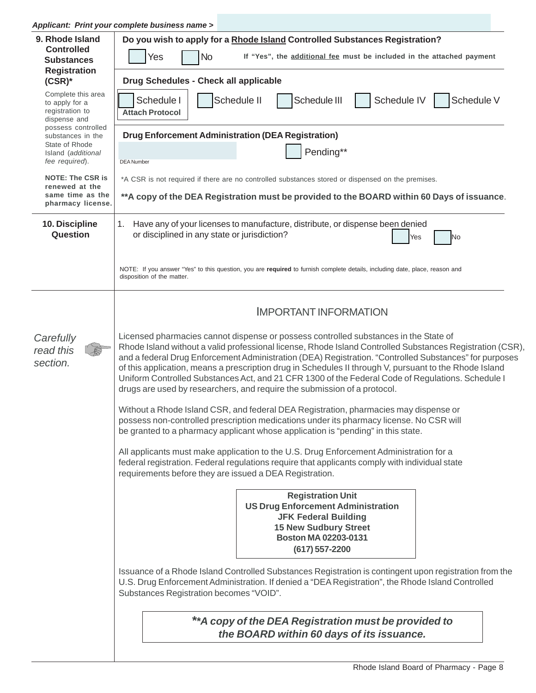*Applicant: Print your complete business name >*

| 9. Rhode Island<br><b>Controlled</b><br><b>Substances</b>               | Do you wish to apply for a Rhode Island Controlled Substances Registration?<br>Yes<br><b>No</b><br>If "Yes", the additional fee must be included in the attached payment                                                                                                                                                                                                                                                                                                                                                                                                                               |  |  |  |  |
|-------------------------------------------------------------------------|--------------------------------------------------------------------------------------------------------------------------------------------------------------------------------------------------------------------------------------------------------------------------------------------------------------------------------------------------------------------------------------------------------------------------------------------------------------------------------------------------------------------------------------------------------------------------------------------------------|--|--|--|--|
| <b>Registration</b><br>$(CSR)^*$                                        | Drug Schedules - Check all applicable                                                                                                                                                                                                                                                                                                                                                                                                                                                                                                                                                                  |  |  |  |  |
| Complete this area<br>to apply for a<br>registration to<br>dispense and | Schedule IV<br>Schedule II<br>Schedule III<br>Schedule V<br>Schedule I<br><b>Attach Protocol</b>                                                                                                                                                                                                                                                                                                                                                                                                                                                                                                       |  |  |  |  |
| possess controlled<br>substances in the                                 | <b>Drug Enforcement Administration (DEA Registration)</b>                                                                                                                                                                                                                                                                                                                                                                                                                                                                                                                                              |  |  |  |  |
| State of Rhode<br>Island (additional<br>fee required).                  | Pending**<br><b>DEA Number</b>                                                                                                                                                                                                                                                                                                                                                                                                                                                                                                                                                                         |  |  |  |  |
| <b>NOTE: The CSR is</b><br>renewed at the                               | *A CSR is not required if there are no controlled substances stored or dispensed on the premises.                                                                                                                                                                                                                                                                                                                                                                                                                                                                                                      |  |  |  |  |
| same time as the<br>pharmacy license.                                   | **A copy of the DEA Registration must be provided to the BOARD within 60 Days of issuance.                                                                                                                                                                                                                                                                                                                                                                                                                                                                                                             |  |  |  |  |
| 10. Discipline<br>Question                                              | Have any of your licenses to manufacture, distribute, or dispense been denied<br>1.<br>or disciplined in any state or jurisdiction?<br>Yes<br>N <sub>o</sub>                                                                                                                                                                                                                                                                                                                                                                                                                                           |  |  |  |  |
|                                                                         | NOTE: If you answer "Yes" to this question, you are required to furnish complete details, including date, place, reason and<br>disposition of the matter.                                                                                                                                                                                                                                                                                                                                                                                                                                              |  |  |  |  |
|                                                                         | <b>IMPORTANT INFORMATION</b>                                                                                                                                                                                                                                                                                                                                                                                                                                                                                                                                                                           |  |  |  |  |
| Carefully<br>read this<br>section.                                      | Licensed pharmacies cannot dispense or possess controlled substances in the State of<br>Rhode Island without a valid professional license, Rhode Island Controlled Substances Registration (CSR),<br>and a federal Drug Enforcement Administration (DEA) Registration. "Controlled Substances" for purposes<br>of this application, means a prescription drug in Schedules II through V, pursuant to the Rhode Island<br>Uniform Controlled Substances Act, and 21 CFR 1300 of the Federal Code of Regulations. Schedule I<br>drugs are used by researchers, and require the submission of a protocol. |  |  |  |  |
|                                                                         | Without a Rhode Island CSR, and federal DEA Registration, pharmacies may dispense or<br>possess non-controlled prescription medications under its pharmacy license. No CSR will<br>be granted to a pharmacy applicant whose application is "pending" in this state.                                                                                                                                                                                                                                                                                                                                    |  |  |  |  |
|                                                                         | All applicants must make application to the U.S. Drug Enforcement Administration for a<br>federal registration. Federal regulations require that applicants comply with individual state<br>requirements before they are issued a DEA Registration.                                                                                                                                                                                                                                                                                                                                                    |  |  |  |  |
|                                                                         | <b>Registration Unit</b><br><b>US Drug Enforcement Administration</b><br><b>JFK Federal Building</b><br><b>15 New Sudbury Street</b><br>Boston MA 02203-0131<br>(617) 557-2200                                                                                                                                                                                                                                                                                                                                                                                                                         |  |  |  |  |
|                                                                         | Issuance of a Rhode Island Controlled Substances Registration is contingent upon registration from the<br>U.S. Drug Enforcement Administration. If denied a "DEA Registration", the Rhode Island Controlled<br>Substances Registration becomes "VOID".                                                                                                                                                                                                                                                                                                                                                 |  |  |  |  |
|                                                                         | ** A copy of the DEA Registration must be provided to<br>the BOARD within 60 days of its issuance.                                                                                                                                                                                                                                                                                                                                                                                                                                                                                                     |  |  |  |  |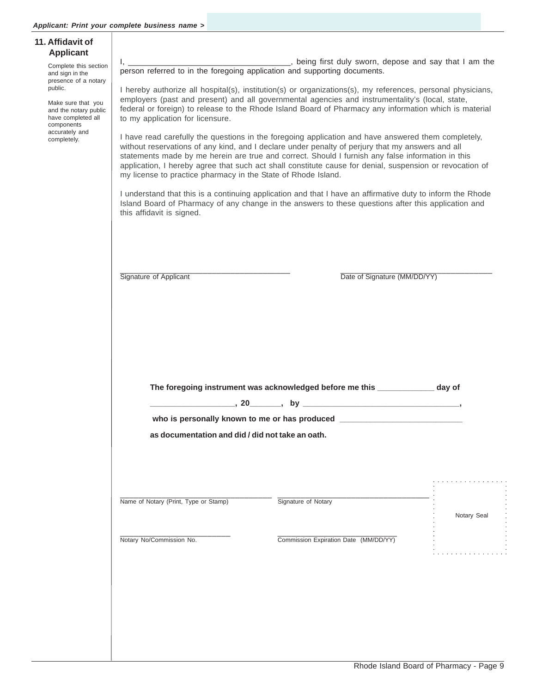| <b>Applicant</b>                                                                                                   |                                                                                                                                                                                                                                                                                                                                                                                                                                                                                                                                                                                                                                                                                                                                                                                                                                                           |                                                                                                                                                                                                                   |             |  |  |  |
|--------------------------------------------------------------------------------------------------------------------|-----------------------------------------------------------------------------------------------------------------------------------------------------------------------------------------------------------------------------------------------------------------------------------------------------------------------------------------------------------------------------------------------------------------------------------------------------------------------------------------------------------------------------------------------------------------------------------------------------------------------------------------------------------------------------------------------------------------------------------------------------------------------------------------------------------------------------------------------------------|-------------------------------------------------------------------------------------------------------------------------------------------------------------------------------------------------------------------|-------------|--|--|--|
| Complete this section<br>and sign in the                                                                           | person referred to in the foregoing application and supporting documents.                                                                                                                                                                                                                                                                                                                                                                                                                                                                                                                                                                                                                                                                                                                                                                                 |                                                                                                                                                                                                                   |             |  |  |  |
| presence of a notary<br>public.<br>Make sure that you<br>and the notary public<br>have completed all<br>components | I hereby authorize all hospital(s), institution(s) or organizations(s), my references, personal physicians,<br>employers (past and present) and all governmental agencies and instrumentality's (local, state,<br>federal or foreign) to release to the Rhode Island Board of Pharmacy any information which is material<br>to my application for licensure.<br>I have read carefully the questions in the foregoing application and have answered them completely,<br>without reservations of any kind, and I declare under penalty of perjury that my answers and all<br>statements made by me herein are true and correct. Should I furnish any false information in this<br>application, I hereby agree that such act shall constitute cause for denial, suspension or revocation of<br>my license to practice pharmacy in the State of Rhode Island. |                                                                                                                                                                                                                   |             |  |  |  |
| accurately and<br>completely.                                                                                      |                                                                                                                                                                                                                                                                                                                                                                                                                                                                                                                                                                                                                                                                                                                                                                                                                                                           |                                                                                                                                                                                                                   |             |  |  |  |
|                                                                                                                    | this affidavit is signed.                                                                                                                                                                                                                                                                                                                                                                                                                                                                                                                                                                                                                                                                                                                                                                                                                                 | I understand that this is a continuing application and that I have an affirmative duty to inform the Rhode<br>Island Board of Pharmacy of any change in the answers to these questions after this application and |             |  |  |  |
|                                                                                                                    |                                                                                                                                                                                                                                                                                                                                                                                                                                                                                                                                                                                                                                                                                                                                                                                                                                                           |                                                                                                                                                                                                                   |             |  |  |  |
|                                                                                                                    | Signature of Applicant                                                                                                                                                                                                                                                                                                                                                                                                                                                                                                                                                                                                                                                                                                                                                                                                                                    | Date of Signature (MM/DD/YY)                                                                                                                                                                                      |             |  |  |  |
|                                                                                                                    |                                                                                                                                                                                                                                                                                                                                                                                                                                                                                                                                                                                                                                                                                                                                                                                                                                                           |                                                                                                                                                                                                                   |             |  |  |  |
|                                                                                                                    |                                                                                                                                                                                                                                                                                                                                                                                                                                                                                                                                                                                                                                                                                                                                                                                                                                                           | The foregoing instrument was acknowledged before me this _____________ day of                                                                                                                                     |             |  |  |  |
|                                                                                                                    |                                                                                                                                                                                                                                                                                                                                                                                                                                                                                                                                                                                                                                                                                                                                                                                                                                                           |                                                                                                                                                                                                                   |             |  |  |  |
|                                                                                                                    |                                                                                                                                                                                                                                                                                                                                                                                                                                                                                                                                                                                                                                                                                                                                                                                                                                                           | who is personally known to me or has produced ___________________________________                                                                                                                                 |             |  |  |  |
|                                                                                                                    | as documentation and did / did not take an oath.                                                                                                                                                                                                                                                                                                                                                                                                                                                                                                                                                                                                                                                                                                                                                                                                          |                                                                                                                                                                                                                   |             |  |  |  |
|                                                                                                                    |                                                                                                                                                                                                                                                                                                                                                                                                                                                                                                                                                                                                                                                                                                                                                                                                                                                           |                                                                                                                                                                                                                   |             |  |  |  |
|                                                                                                                    |                                                                                                                                                                                                                                                                                                                                                                                                                                                                                                                                                                                                                                                                                                                                                                                                                                                           |                                                                                                                                                                                                                   |             |  |  |  |
|                                                                                                                    | Name of Notary (Print, Type or Stamp)                                                                                                                                                                                                                                                                                                                                                                                                                                                                                                                                                                                                                                                                                                                                                                                                                     | Signature of Notary                                                                                                                                                                                               |             |  |  |  |
|                                                                                                                    |                                                                                                                                                                                                                                                                                                                                                                                                                                                                                                                                                                                                                                                                                                                                                                                                                                                           |                                                                                                                                                                                                                   |             |  |  |  |
|                                                                                                                    |                                                                                                                                                                                                                                                                                                                                                                                                                                                                                                                                                                                                                                                                                                                                                                                                                                                           |                                                                                                                                                                                                                   | Notary Seal |  |  |  |
|                                                                                                                    |                                                                                                                                                                                                                                                                                                                                                                                                                                                                                                                                                                                                                                                                                                                                                                                                                                                           |                                                                                                                                                                                                                   |             |  |  |  |
|                                                                                                                    | Notary No/Commission No.                                                                                                                                                                                                                                                                                                                                                                                                                                                                                                                                                                                                                                                                                                                                                                                                                                  | Commission Expiration Date (MM/DD/YY)                                                                                                                                                                             |             |  |  |  |
|                                                                                                                    |                                                                                                                                                                                                                                                                                                                                                                                                                                                                                                                                                                                                                                                                                                                                                                                                                                                           |                                                                                                                                                                                                                   |             |  |  |  |
|                                                                                                                    |                                                                                                                                                                                                                                                                                                                                                                                                                                                                                                                                                                                                                                                                                                                                                                                                                                                           |                                                                                                                                                                                                                   |             |  |  |  |
|                                                                                                                    |                                                                                                                                                                                                                                                                                                                                                                                                                                                                                                                                                                                                                                                                                                                                                                                                                                                           |                                                                                                                                                                                                                   |             |  |  |  |
|                                                                                                                    |                                                                                                                                                                                                                                                                                                                                                                                                                                                                                                                                                                                                                                                                                                                                                                                                                                                           |                                                                                                                                                                                                                   |             |  |  |  |
|                                                                                                                    |                                                                                                                                                                                                                                                                                                                                                                                                                                                                                                                                                                                                                                                                                                                                                                                                                                                           |                                                                                                                                                                                                                   |             |  |  |  |
|                                                                                                                    |                                                                                                                                                                                                                                                                                                                                                                                                                                                                                                                                                                                                                                                                                                                                                                                                                                                           |                                                                                                                                                                                                                   |             |  |  |  |
|                                                                                                                    |                                                                                                                                                                                                                                                                                                                                                                                                                                                                                                                                                                                                                                                                                                                                                                                                                                                           |                                                                                                                                                                                                                   |             |  |  |  |